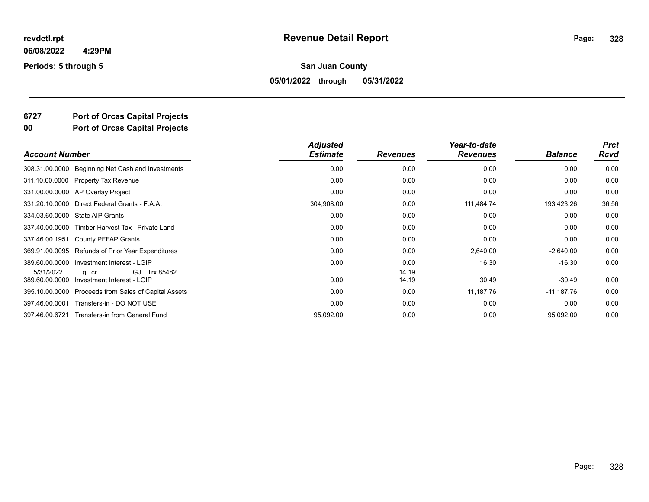**Periods: 5 through 5**

#### **San Juan County**

**05/01/2022 through 05/31/2022**

## **6727 Port of Orcas Capital Projects**

**00 Port of Orcas Capital Projects**

| <b>Account Number</b>                     |                                            | <b>Adjusted</b><br><b>Estimate</b> | <b>Revenues</b> | Year-to-date<br><b>Revenues</b> | <b>Balance</b> | <b>Prct</b><br><b>Rcvd</b> |
|-------------------------------------------|--------------------------------------------|------------------------------------|-----------------|---------------------------------|----------------|----------------------------|
| 308.31.00.0000                            | Beginning Net Cash and Investments         | 0.00                               | 0.00            | 0.00                            | 0.00           | 0.00                       |
| 311.10.00.0000 Property Tax Revenue       |                                            | 0.00                               | 0.00            | 0.00                            | 0.00           | 0.00                       |
| 331.00.00.0000 AP Overlay Project         |                                            | 0.00                               | 0.00            | 0.00                            | 0.00           | 0.00                       |
| 331.20.10.0000                            | Direct Federal Grants - F.A.A.             | 304,908.00                         | 0.00            | 111,484.74                      | 193,423.26     | 36.56                      |
| <b>State AIP Grants</b><br>334.03.60.0000 |                                            | 0.00                               | 0.00            | 0.00                            | 0.00           | 0.00                       |
| 337.40.00.0000                            | Timber Harvest Tax - Private Land          | 0.00                               | 0.00            | 0.00                            | 0.00           | 0.00                       |
| 337.46.00.1951<br>County PFFAP Grants     |                                            | 0.00                               | 0.00            | 0.00                            | 0.00           | 0.00                       |
| 369.91.00.0095                            | Refunds of Prior Year Expenditures         | 0.00                               | 0.00            | 2,640.00                        | $-2,640.00$    | 0.00                       |
| 389.60.00.0000                            | Investment Interest - LGIP                 | 0.00                               | 0.00            | 16.30                           | $-16.30$       | 0.00                       |
| 5/31/2022<br>gl cr<br>389.60.00.0000      | GJ Trx 85482<br>Investment Interest - LGIP | 0.00                               | 14.19<br>14.19  | 30.49                           | $-30.49$       | 0.00                       |
| 395.10.00.0000                            | Proceeds from Sales of Capital Assets      | 0.00                               | 0.00            | 11,187.76                       | $-11,187.76$   | 0.00                       |
| 397.46.00.0001                            | Transfers-in - DO NOT USE                  | 0.00                               | 0.00            | 0.00                            | 0.00           | 0.00                       |
| 397.46.00.6721                            | Transfers-in from General Fund             | 95,092.00                          | 0.00            | 0.00                            | 95,092.00      | 0.00                       |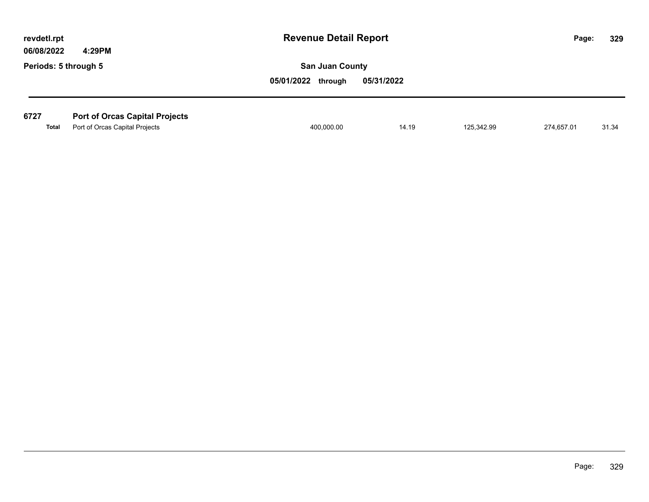| revdetl.rpt<br>06/08/2022 |              | 4:29PM                                | <b>Revenue Detail Report</b> |            |            |            | 329<br>Page: |
|---------------------------|--------------|---------------------------------------|------------------------------|------------|------------|------------|--------------|
| Periods: 5 through 5      |              |                                       | <b>San Juan County</b>       |            |            |            |              |
|                           |              |                                       | 05/01/2022 through           | 05/31/2022 |            |            |              |
|                           |              |                                       |                              |            |            |            |              |
| 6727                      |              | <b>Port of Orcas Capital Projects</b> |                              |            |            |            |              |
|                           | <b>Total</b> | Port of Orcas Capital Projects        | 400,000.00                   | 14.19      | 125,342.99 | 274,657.01 | 31.34        |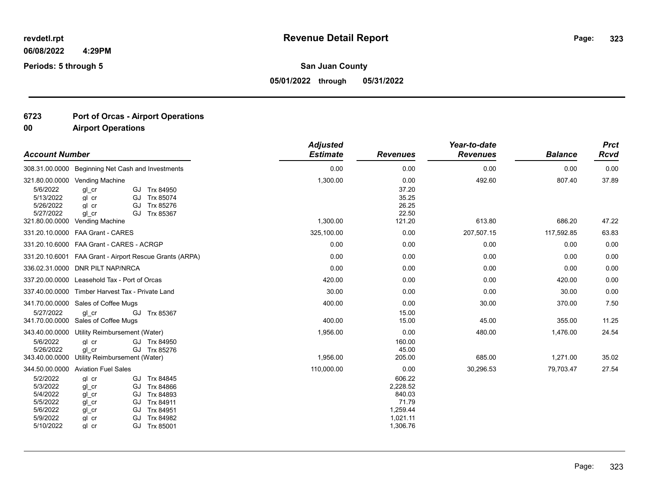**Periods: 5 through 5**

**San Juan County**

**05/01/2022 through 05/31/2022**

## **6723 Port of Orcas - Airport Operations**

| <b>Account Number</b>                                                             |                                                                                                                                                                                         | <b>Adjusted</b><br><b>Estimate</b> | <b>Revenues</b>                                                           | Year-to-date<br><b>Revenues</b> | <b>Balance</b> | <b>Prct</b><br>Rcvd |
|-----------------------------------------------------------------------------------|-----------------------------------------------------------------------------------------------------------------------------------------------------------------------------------------|------------------------------------|---------------------------------------------------------------------------|---------------------------------|----------------|---------------------|
|                                                                                   | 308.31.00.0000 Beginning Net Cash and Investments                                                                                                                                       | 0.00                               | 0.00                                                                      | 0.00                            | 0.00           | 0.00                |
| 321.80.00.0000<br>5/6/2022<br>5/13/2022<br>5/26/2022<br>5/27/2022                 | Vending Machine<br>GJ Trx 84950<br>ql cr<br>ql cr<br>GJ Trx 85074<br>Trx 85276<br>gl cr<br>GJ<br>ql cr<br>GJ Trx 85367                                                                  | 1,300.00                           | 0.00<br>37.20<br>35.25<br>26.25<br>22.50<br>121.20                        | 492.60                          | 807.40         | 37.89               |
| 321.80.00.0000                                                                    | Vending Machine                                                                                                                                                                         | 1,300.00                           |                                                                           | 613.80                          | 686.20         | 47.22               |
| 331.20.10.0000                                                                    | <b>FAA Grant - CARES</b>                                                                                                                                                                | 325,100.00                         | 0.00                                                                      | 207,507.15                      | 117,592.85     | 63.83               |
|                                                                                   | 331.20.10.6000 FAA Grant - CARES - ACRGP                                                                                                                                                | 0.00                               | 0.00                                                                      | 0.00                            | 0.00           | 0.00                |
|                                                                                   | 331.20.10.6001 FAA Grant - Airport Rescue Grants (ARPA)                                                                                                                                 | 0.00                               | 0.00                                                                      | 0.00                            | 0.00           | 0.00                |
|                                                                                   | 336.02.31.0000 DNR PILT NAP/NRCA                                                                                                                                                        | 0.00                               | 0.00                                                                      | 0.00                            | 0.00           | 0.00                |
| 337.20.00.0000                                                                    | Leasehold Tax - Port of Orcas                                                                                                                                                           | 420.00                             | 0.00                                                                      | 0.00                            | 420.00         | 0.00                |
| 337.40.00.0000                                                                    | Timber Harvest Tax - Private Land                                                                                                                                                       | 30.00                              | 0.00                                                                      | 0.00                            | 30.00          | 0.00                |
| 341.70.00.0000                                                                    | Sales of Coffee Mugs                                                                                                                                                                    | 400.00                             | 0.00                                                                      | 30.00                           | 370.00         | 7.50                |
| 5/27/2022<br>341.70.00.0000                                                       | ql cr<br>GJ<br>Trx 85367<br>Sales of Coffee Mugs                                                                                                                                        | 400.00                             | 15.00<br>15.00                                                            | 45.00                           | 355.00         | 11.25               |
| 343.40.00.0000                                                                    | Utility Reimbursement (Water)                                                                                                                                                           | 1,956.00                           | 0.00                                                                      | 480.00                          | 1,476.00       | 24.54               |
| 5/6/2022<br>5/26/2022<br>343.40.00.0000                                           | ql cr<br>GJ Trx 84950<br>GJ Trx 85276<br>gl cr<br>Utility Reimbursement (Water)                                                                                                         | 1,956.00                           | 160.00<br>45.00<br>205.00                                                 | 685.00                          | 1,271.00       | 35.02               |
| 344.50.00.0000                                                                    | <b>Aviation Fuel Sales</b>                                                                                                                                                              | 110,000.00                         | 0.00                                                                      | 30,296.53                       | 79,703.47      | 27.54               |
| 5/2/2022<br>5/3/2022<br>5/4/2022<br>5/5/2022<br>5/6/2022<br>5/9/2022<br>5/10/2022 | GJ Trx 84845<br>gl cr<br>GJ Trx 84866<br>gl cr<br>gl cr<br>GJ<br>Trx 84893<br>Trx 84911<br>gl cr<br>GJ<br>Trx 84951<br>gl cr<br>GJ<br>Trx 84982<br>gl cr<br>GJ<br>gl cr<br>GJ Trx 85001 |                                    | 606.22<br>2,228.52<br>840.03<br>71.79<br>1,259.44<br>1,021.11<br>1,306.76 |                                 |                |                     |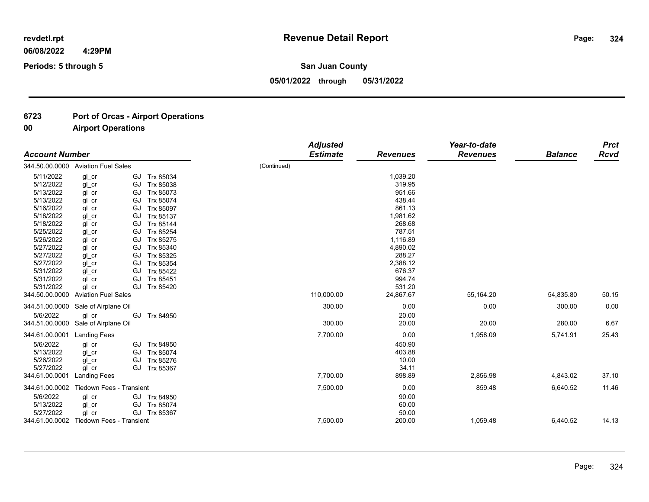**324**

**06/08/2022 4:29PM**

**Periods: 5 through 5**

**San Juan County**

**05/01/2022 through 05/31/2022**

## **6723 Port of Orcas - Airport Operations**

| <b>Account Number</b>                                                                                             |                                                                                                                                     |                                                                                                                   |             | <b>Adjusted</b><br><b>Estimate</b> | <b>Revenues</b>                                                                                | Year-to-date<br><b>Revenues</b> | <b>Balance</b>       | <b>Prct</b><br>Rcvd |
|-------------------------------------------------------------------------------------------------------------------|-------------------------------------------------------------------------------------------------------------------------------------|-------------------------------------------------------------------------------------------------------------------|-------------|------------------------------------|------------------------------------------------------------------------------------------------|---------------------------------|----------------------|---------------------|
|                                                                                                                   | 344.50.00.0000 Aviation Fuel Sales                                                                                                  |                                                                                                                   | (Continued) |                                    |                                                                                                |                                 |                      |                     |
| 5/11/2022<br>5/12/2022<br>5/13/2022<br>5/13/2022                                                                  | gl cr<br>GJ<br>gl cr<br>GJ<br>gl cr<br>GJ<br>gl cr<br>GJ                                                                            | Trx 85034<br>Trx 85038<br>Trx 85073<br>Trx 85074                                                                  |             |                                    | 1,039.20<br>319.95<br>951.66<br>438.44                                                         |                                 |                      |                     |
| 5/16/2022<br>5/18/2022<br>5/18/2022<br>5/25/2022<br>5/26/2022<br>5/27/2022<br>5/27/2022<br>5/27/2022<br>5/31/2022 | gl cr<br>GJ<br>gl cr<br>GJ<br>gl cr<br>GJ<br>gl cr<br>GJ<br>gl cr<br>GJ<br>gl cr<br>GJ<br>GJ<br>gl cr<br>GJ<br>gl cr<br>gl cr<br>GJ | Trx 85097<br>Trx 85137<br>Trx 85144<br>Trx 85254<br>Trx 85275<br>Trx 85340<br>Trx 85325<br>Trx 85354<br>Trx 85422 |             |                                    | 861.13<br>1,981.62<br>268.68<br>787.51<br>1,116.89<br>4,890.02<br>288.27<br>2,388.12<br>676.37 |                                 |                      |                     |
| 5/31/2022<br>5/31/2022<br>344.50.00.0000                                                                          | gl cr<br>GJ<br>GJ<br>ql cr<br><b>Aviation Fuel Sales</b>                                                                            | Trx 85451<br>Trx 85420                                                                                            |             | 110,000.00                         | 994.74<br>531.20<br>24,867.67                                                                  | 55,164.20                       | 54,835.80            | 50.15               |
| 344.51.00.0000<br>5/6/2022<br>344.51.00.0000                                                                      | Sale of Airplane Oil<br>ql cr<br>GJ<br>Sale of Airplane Oil                                                                         | Trx 84950                                                                                                         |             | 300.00<br>300.00                   | 0.00<br>20.00<br>20.00                                                                         | 0.00<br>20.00                   | 300.00<br>280.00     | 0.00<br>6.67        |
| 344.61.00.0001<br>5/6/2022<br>5/13/2022<br>5/26/2022<br>5/27/2022<br>344.61.00.0001                               | <b>Landing Fees</b><br>gl cr<br>GJ<br>gl cr<br>GJ<br>gl cr<br>GJ<br>ql cr<br>GJ<br><b>Landing Fees</b>                              | Trx 84950<br>Trx 85074<br>Trx 85276<br>Trx 85367                                                                  |             | 7,700.00<br>7,700.00               | 0.00<br>450.90<br>403.88<br>10.00<br>34.11<br>898.89                                           | 1,958.09<br>2,856.98            | 5,741.91<br>4,843.02 | 25.43<br>37.10      |
| 344.61.00.0002<br>5/6/2022<br>5/13/2022<br>5/27/2022<br>344.61.00.0002                                            | Tiedown Fees - Transient<br>gl cr<br>gl cr<br>GJ<br>GJ<br>gl cr<br>Tiedown Fees - Transient                                         | GJ Trx 84950<br>Trx 85074<br>Trx 85367                                                                            |             | 7,500.00<br>7,500.00               | 0.00<br>90.00<br>60.00<br>50.00<br>200.00                                                      | 859.48<br>1,059.48              | 6,640.52<br>6,440.52 | 11.46<br>14.13      |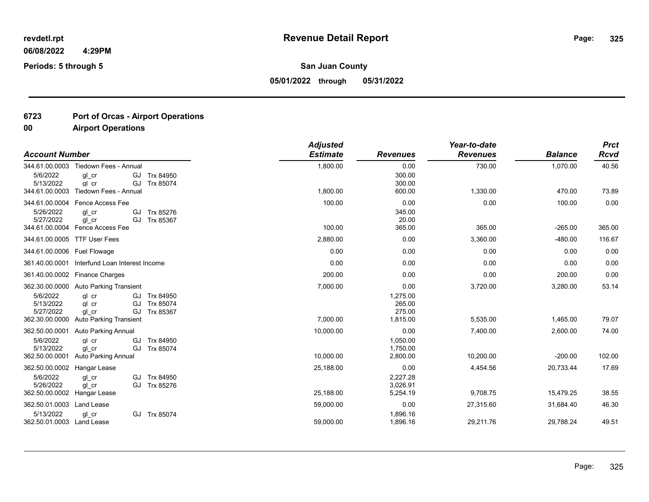**Periods: 5 through 5**

**San Juan County**

**05/01/2022 through 05/31/2022**

## **6723 Port of Orcas - Airport Operations**

| <b>Account Number</b>                                |                                                                            |                                     | <b>Adjusted</b><br><b>Estimate</b> | <b>Revenues</b>                          | Year-to-date<br><b>Revenues</b> | <b>Balance</b> | <b>Prct</b><br><b>Rcvd</b> |
|------------------------------------------------------|----------------------------------------------------------------------------|-------------------------------------|------------------------------------|------------------------------------------|---------------------------------|----------------|----------------------------|
| 344.61.00.0003                                       | Tiedown Fees - Annual                                                      |                                     | 1,800.00                           | 0.00                                     | 730.00                          | 1,070.00       | 40.56                      |
| 5/6/2022<br>5/13/2022<br>344.61.00.0003              | gl cr<br>GJ<br>GJ<br>gl cr<br>Tiedown Fees - Annual                        | Trx 84950<br>Trx 85074              | 1.800.00                           | 300.00<br>300.00<br>600.00               | 1,330.00                        | 470.00         | 73.89                      |
| 344.61.00.0004                                       | Fence Access Fee                                                           |                                     | 100.00                             | 0.00                                     | 0.00                            | 100.00         | 0.00                       |
| 5/26/2022<br>5/27/2022<br>344.61.00.0004             | GJ<br>ql cr<br>GJ<br>ql cr<br><b>Fence Access Fee</b>                      | Trx 85276<br>Trx 85367              | 100.00                             | 345.00<br>20.00<br>365.00                | 365.00                          | $-265.00$      | 365.00                     |
|                                                      |                                                                            |                                     |                                    |                                          |                                 |                |                            |
|                                                      | 344.61.00.0005 TTF User Fees                                               |                                     | 2,880.00                           | 0.00                                     | 3,360.00                        | $-480.00$      | 116.67                     |
| 344.61.00.0006 Fuel Flowage                          |                                                                            |                                     | 0.00                               | 0.00                                     | 0.00                            | 0.00           | 0.00                       |
| 361.40.00.0001                                       | Interfund Loan Interest Income                                             |                                     | 0.00                               | 0.00                                     | 0.00                            | 0.00           | 0.00                       |
| 361.40.00.0002                                       | <b>Finance Charges</b>                                                     |                                     | 200.00                             | 0.00                                     | 0.00                            | 200.00         | 0.00                       |
| 362.30.00.0000                                       | <b>Auto Parking Transient</b>                                              |                                     | 7,000.00                           | 0.00                                     | 3,720.00                        | 3,280.00       | 53.14                      |
| 5/6/2022<br>5/13/2022<br>5/27/2022<br>362.30.00.0000 | GJ<br>ql cr<br>ql cr<br>GJ<br>GJ<br>ql cr<br><b>Auto Parking Transient</b> | Trx 84950<br>Trx 85074<br>Trx 85367 | 7,000.00                           | 1,275.00<br>265.00<br>275.00<br>1,815.00 | 5,535.00                        | 1,465.00       | 79.07                      |
| 362.50.00.0001                                       | <b>Auto Parking Annual</b>                                                 |                                     | 10,000.00                          | 0.00                                     | 7,400.00                        | 2,600.00       | 74.00                      |
| 5/6/2022<br>5/13/2022<br>362.50.00.0001              | GJ<br>gl cr<br>GJ<br>ql cr<br><b>Auto Parking Annual</b>                   | Trx 84950<br>Trx 85074              | 10,000.00                          | 1,050.00<br>1,750.00<br>2,800.00         | 10,200.00                       | $-200.00$      | 102.00                     |
| 362.50.00.0002                                       | Hangar Lease                                                               |                                     | 25,188.00                          | 0.00                                     | 4,454.56                        | 20,733.44      | 17.69                      |
| 5/6/2022<br>5/26/2022<br>362.50.00.0002              | ql cr<br>gl cr<br>GJ<br>Hangar Lease                                       | GJ Trx 84950<br>Trx 85276           | 25,188.00                          | 2,227.28<br>3,026.91<br>5,254.19         | 9,708.75                        | 15,479.25      | 38.55                      |
| 362.50.01.0003                                       | Land Lease                                                                 |                                     | 59,000.00                          | 0.00                                     | 27,315.60                       | 31,684.40      | 46.30                      |
| 5/13/2022<br>362.50.01.0003 Land Lease               | gl cr                                                                      | GJ Trx 85074                        | 59,000.00                          | 1,896.16<br>1,896.16                     | 29,211.76                       | 29,788.24      | 49.51                      |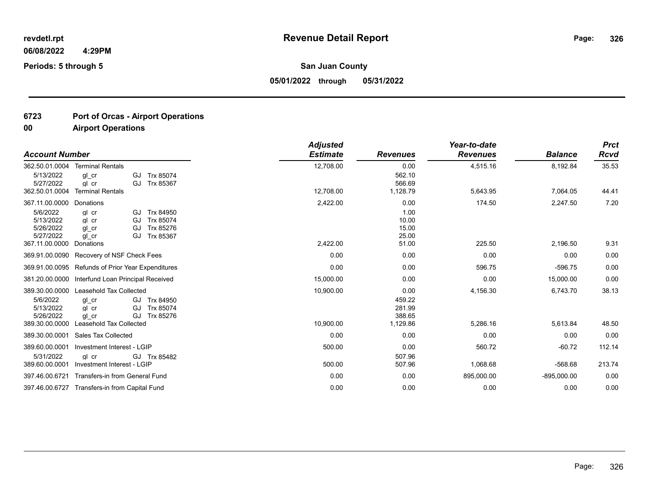**Periods: 5 through 5**

**San Juan County**

**05/01/2022 through 05/31/2022**

## **6723 Port of Orcas - Airport Operations**

|                                                                        |                                                                                           |                                                  | <b>Adjusted</b>        |                                                | Year-to-date         |                       | <b>Prct</b>      |
|------------------------------------------------------------------------|-------------------------------------------------------------------------------------------|--------------------------------------------------|------------------------|------------------------------------------------|----------------------|-----------------------|------------------|
| <b>Account Number</b>                                                  |                                                                                           |                                                  | <b>Estimate</b>        | <b>Revenues</b>                                | <b>Revenues</b>      | <b>Balance</b>        | <b>Rcvd</b>      |
| 362.50.01.0004                                                         | <b>Terminal Rentals</b>                                                                   |                                                  | 12,708.00              | 0.00                                           | 4,515.16             | 8,192.84              | 35.53            |
| 5/13/2022<br>5/27/2022<br>362.50.01.0004                               | gl cr<br>GJ<br>gl cr<br>GJ<br>Terminal Rentals                                            | Trx 85074<br>Trx 85367                           | 12,708.00              | 562.10<br>566.69<br>1,128.79                   | 5,643.95             | 7,064.05              | 44.41            |
| 367.11.00.0000                                                         | Donations                                                                                 |                                                  | 2,422.00               | 0.00                                           | 174.50               | 2,247.50              | 7.20             |
| 5/6/2022<br>5/13/2022<br>5/26/2022<br>5/27/2022<br>367.11.00.0000      | gl cr<br>GJ<br>gl cr<br>GJ<br>GJ<br>ql cr<br>ql cr<br>GJ<br>Donations                     | Trx 84950<br>Trx 85074<br>Trx 85276<br>Trx 85367 | 2,422.00               | 1.00<br>10.00<br>15.00<br>25.00<br>51.00       | 225.50               | 2,196.50              | 9.31             |
| 369.91.00.0090                                                         | Recovery of NSF Check Fees                                                                |                                                  | 0.00                   | 0.00                                           | 0.00                 | 0.00                  | 0.00             |
| 369.91.00.0095                                                         | Refunds of Prior Year Expenditures                                                        |                                                  | 0.00                   | 0.00                                           | 596.75               | $-596.75$             | 0.00             |
| 381.20.00.0000                                                         | Interfund Loan Principal Received                                                         |                                                  | 15,000.00              | 0.00                                           | 0.00                 | 15,000.00             | 0.00             |
| 389.30.00.0000<br>5/6/2022<br>5/13/2022<br>5/26/2022<br>389.30.00.0000 | Leasehold Tax Collected<br>gl cr<br>gl cr<br>GJ<br>ql cr<br>GJ<br>Leasehold Tax Collected | GJ Trx 84950<br>Trx 85074<br>Trx 85276           | 10,900.00<br>10,900.00 | 0.00<br>459.22<br>281.99<br>388.65<br>1,129.86 | 4,156.30<br>5,286.16 | 6,743.70<br>5,613.84  | 38.13<br>48.50   |
| 389.30.00.0001                                                         | <b>Sales Tax Collected</b>                                                                |                                                  | 0.00                   | 0.00                                           | 0.00                 | 0.00                  | 0.00             |
| 389.60.00.0001<br>5/31/2022<br>389.60.00.0001                          | Investment Interest - LGIP<br>al cr<br>Investment Interest - LGIP                         | GJ Trx 85482                                     | 500.00<br>500.00       | 0.00<br>507.96<br>507.96                       | 560.72<br>1,068.68   | $-60.72$<br>$-568.68$ | 112.14<br>213.74 |
| 397.46.00.6721                                                         | Transfers-in from General Fund                                                            |                                                  | 0.00                   | 0.00                                           | 895,000.00           | $-895,000.00$         | 0.00             |
|                                                                        | 397.46.00.6727 Transfers-in from Capital Fund                                             |                                                  | 0.00                   | 0.00                                           | 0.00                 | 0.00                  | 0.00             |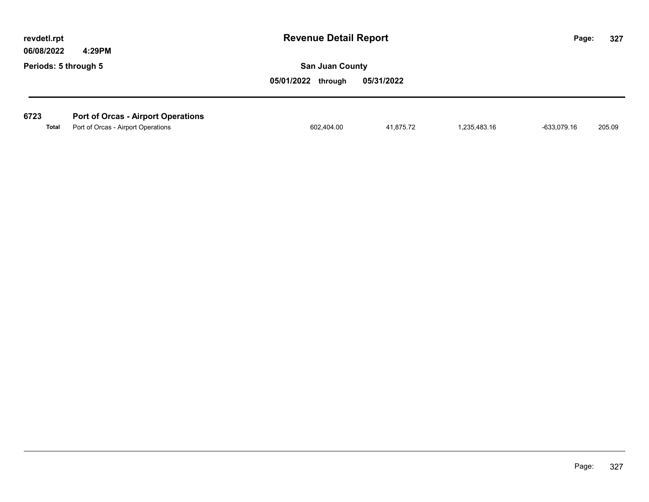| revdetl.rpt<br>06/08/2022 |  | 4:29PM                                    | <b>Revenue Detail Report</b> |            |              | Page:       | 327    |
|---------------------------|--|-------------------------------------------|------------------------------|------------|--------------|-------------|--------|
| Periods: 5 through 5      |  |                                           | <b>San Juan County</b>       |            |              |             |        |
|                           |  |                                           | 05/01/2022<br>through        | 05/31/2022 |              |             |        |
|                           |  |                                           |                              |            |              |             |        |
| 6723                      |  | <b>Port of Orcas - Airport Operations</b> |                              |            |              |             |        |
| Total                     |  | Port of Orcas - Airport Operations        | 602,404.00                   | 41.875.72  | 1,235,483.16 | -633,079.16 | 205.09 |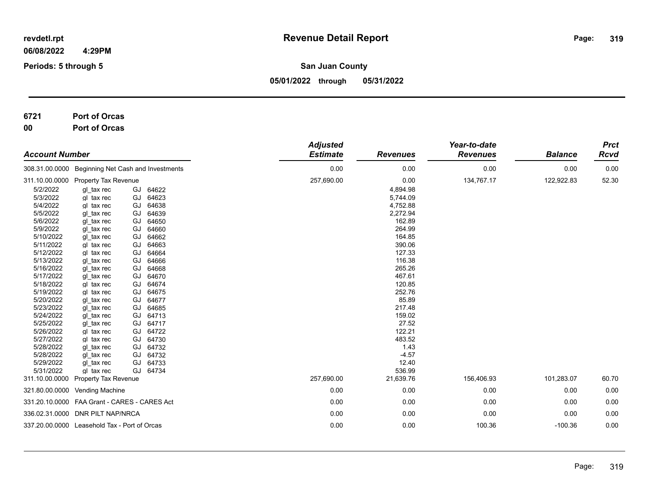**Periods: 5 through 5**

**San Juan County**

**05/01/2022 through 05/31/2022**

# **6721 Port of Orcas**

**00 Port of Orcas**

| <b>Account Number</b>                                                                                                                                                                                                                                                                |                                                                                                                                                                                                                                                                                                                  | <b>Adjusted</b><br><b>Estimate</b>                                                                                                                                                                                                                                                                                   | <b>Revenues</b> | Year-to-date<br><b>Revenues</b>                                                                                                                                                                                               | <b>Balance</b> | <b>Prct</b><br>Rcvd |       |
|--------------------------------------------------------------------------------------------------------------------------------------------------------------------------------------------------------------------------------------------------------------------------------------|------------------------------------------------------------------------------------------------------------------------------------------------------------------------------------------------------------------------------------------------------------------------------------------------------------------|----------------------------------------------------------------------------------------------------------------------------------------------------------------------------------------------------------------------------------------------------------------------------------------------------------------------|-----------------|-------------------------------------------------------------------------------------------------------------------------------------------------------------------------------------------------------------------------------|----------------|---------------------|-------|
|                                                                                                                                                                                                                                                                                      |                                                                                                                                                                                                                                                                                                                  | 308.31.00.0000 Beginning Net Cash and Investments                                                                                                                                                                                                                                                                    | 0.00            | 0.00                                                                                                                                                                                                                          | 0.00           | 0.00                | 0.00  |
|                                                                                                                                                                                                                                                                                      | 311.10.00.0000 Property Tax Revenue                                                                                                                                                                                                                                                                              |                                                                                                                                                                                                                                                                                                                      | 257,690.00      | 0.00                                                                                                                                                                                                                          | 134,767.17     | 122,922.83          | 52.30 |
| 5/2/2022<br>5/3/2022<br>5/4/2022<br>5/5/2022<br>5/6/2022<br>5/9/2022<br>5/10/2022<br>5/11/2022<br>5/12/2022<br>5/13/2022<br>5/16/2022<br>5/17/2022<br>5/18/2022<br>5/19/2022<br>5/20/2022<br>5/23/2022<br>5/24/2022<br>5/25/2022<br>5/26/2022<br>5/27/2022<br>5/28/2022<br>5/28/2022 | gl tax rec<br>gl tax rec<br>gl tax rec<br>gl tax rec<br>gl tax rec<br>gl tax rec<br>gl tax rec<br>gl tax rec<br>gl tax rec<br>gl tax rec<br>gl tax rec<br>gl tax rec<br>gl tax rec<br>gl tax rec<br>gl tax rec<br>gl tax rec<br>gl tax rec<br>gl tax rec<br>gl tax rec<br>gl tax rec<br>gl tax rec<br>gl tax rec | GJ<br>64622<br>GJ<br>64623<br>GJ<br>64638<br>GJ<br>64639<br>GJ<br>64650<br>GJ<br>64660<br>GJ<br>64662<br>GJ<br>64663<br>GJ<br>64664<br>GJ<br>64666<br>GJ<br>64668<br>GJ<br>64670<br>GJ<br>64674<br>GJ<br>64675<br>GJ<br>64677<br>GJ<br>64685<br>GJ 64713<br>GJ 64717<br>GJ 64722<br>GJ 64730<br>GJ 64732<br>GJ 64732 |                 | 4,894.98<br>5,744.09<br>4,752.88<br>2,272.94<br>162.89<br>264.99<br>164.85<br>390.06<br>127.33<br>116.38<br>265.26<br>467.61<br>120.85<br>252.76<br>85.89<br>217.48<br>159.02<br>27.52<br>122.21<br>483.52<br>1.43<br>$-4.57$ |                |                     |       |
| 5/29/2022                                                                                                                                                                                                                                                                            | gl tax rec                                                                                                                                                                                                                                                                                                       | GJ 64733                                                                                                                                                                                                                                                                                                             |                 | 12.40                                                                                                                                                                                                                         |                |                     |       |
| 5/31/2022<br>311.10.00.0000                                                                                                                                                                                                                                                          | gl tax rec<br><b>Property Tax Revenue</b>                                                                                                                                                                                                                                                                        | GJ 64734                                                                                                                                                                                                                                                                                                             | 257,690.00      | 536.99<br>21,639.76                                                                                                                                                                                                           | 156,406.93     | 101,283.07          | 60.70 |
|                                                                                                                                                                                                                                                                                      | 321.80.00.0000 Vending Machine                                                                                                                                                                                                                                                                                   |                                                                                                                                                                                                                                                                                                                      | 0.00            | 0.00                                                                                                                                                                                                                          | 0.00           | 0.00                | 0.00  |
|                                                                                                                                                                                                                                                                                      | 331.20.10.0000 FAA Grant - CARES - CARES Act                                                                                                                                                                                                                                                                     |                                                                                                                                                                                                                                                                                                                      | 0.00            | 0.00                                                                                                                                                                                                                          | 0.00           | 0.00                | 0.00  |
|                                                                                                                                                                                                                                                                                      | 336.02.31.0000 DNR PILT NAP/NRCA                                                                                                                                                                                                                                                                                 |                                                                                                                                                                                                                                                                                                                      | 0.00            | 0.00                                                                                                                                                                                                                          | 0.00           | 0.00                | 0.00  |
|                                                                                                                                                                                                                                                                                      | 337.20.00.0000 Leasehold Tax - Port of Orcas                                                                                                                                                                                                                                                                     |                                                                                                                                                                                                                                                                                                                      | 0.00            | 0.00                                                                                                                                                                                                                          | 100.36         | $-100.36$           | 0.00  |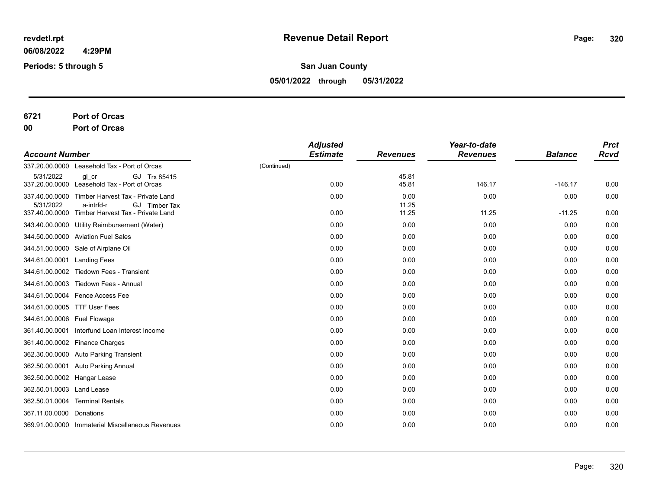**Periods: 5 through 5**

**San Juan County**

**05/01/2022 through 05/31/2022**

**6721 Port of Orcas**

**00 Port of Orcas**

| <b>Account Number</b>        |                                                                       | <b>Adjusted</b><br><b>Estimate</b> | <b>Revenues</b> | Year-to-date<br><b>Revenues</b> | <b>Balance</b> | <b>Prct</b><br><b>Rcvd</b> |
|------------------------------|-----------------------------------------------------------------------|------------------------------------|-----------------|---------------------------------|----------------|----------------------------|
| 337.20.00.0000               | Leasehold Tax - Port of Orcas                                         | (Continued)                        |                 |                                 |                |                            |
| 5/31/2022                    | GJ Trx 85415<br>gl cr<br>337.20.00.0000 Leasehold Tax - Port of Orcas | 0.00                               | 45.81<br>45.81  | 146.17                          | $-146.17$      | 0.00                       |
| 337.40.00.0000<br>5/31/2022  | Timber Harvest Tax - Private Land<br>GJ Timber Tax<br>a-intrfd-r      | 0.00                               | 0.00<br>11.25   | 0.00                            | 0.00           | 0.00                       |
| 337.40.00.0000               | Timber Harvest Tax - Private Land                                     | 0.00                               | 11.25           | 11.25                           | $-11.25$       | 0.00                       |
|                              | 343.40.00.0000 Utility Reimbursement (Water)                          | 0.00                               | 0.00            | 0.00                            | 0.00           | 0.00                       |
|                              | 344.50.00.0000 Aviation Fuel Sales                                    | 0.00                               | 0.00            | 0.00                            | 0.00           | 0.00                       |
|                              | 344.51.00.0000 Sale of Airplane Oil                                   | 0.00                               | 0.00            | 0.00                            | 0.00           | 0.00                       |
| 344.61.00.0001 Landing Fees  |                                                                       | 0.00                               | 0.00            | 0.00                            | 0.00           | 0.00                       |
| 344.61.00.0002               | Tiedown Fees - Transient                                              | 0.00                               | 0.00            | 0.00                            | 0.00           | 0.00                       |
|                              | 344.61.00.0003 Tiedown Fees - Annual                                  | 0.00                               | 0.00            | 0.00                            | 0.00           | 0.00                       |
|                              | 344.61.00.0004 Fence Access Fee                                       | 0.00                               | 0.00            | 0.00                            | 0.00           | 0.00                       |
| 344.61.00.0005 TTF User Fees |                                                                       | 0.00                               | 0.00            | 0.00                            | 0.00           | 0.00                       |
| 344.61.00.0006 Fuel Flowage  |                                                                       | 0.00                               | 0.00            | 0.00                            | 0.00           | 0.00                       |
|                              | 361.40.00.0001 Interfund Loan Interest Income                         | 0.00                               | 0.00            | 0.00                            | 0.00           | 0.00                       |
|                              | 361.40.00.0002 Finance Charges                                        | 0.00                               | 0.00            | 0.00                            | 0.00           | 0.00                       |
|                              | 362.30.00.0000 Auto Parking Transient                                 | 0.00                               | 0.00            | 0.00                            | 0.00           | 0.00                       |
|                              | 362.50.00.0001 Auto Parking Annual                                    | 0.00                               | 0.00            | 0.00                            | 0.00           | 0.00                       |
| 362.50.00.0002 Hangar Lease  |                                                                       | 0.00                               | 0.00            | 0.00                            | 0.00           | 0.00                       |
| 362.50.01.0003 Land Lease    |                                                                       | 0.00                               | 0.00            | 0.00                            | 0.00           | 0.00                       |
|                              | 362.50.01.0004 Terminal Rentals                                       | 0.00                               | 0.00            | 0.00                            | 0.00           | 0.00                       |
| 367.11.00.0000 Donations     |                                                                       | 0.00                               | 0.00            | 0.00                            | 0.00           | 0.00                       |
|                              | 369.91.00.0000 Immaterial Miscellaneous Revenues                      | 0.00                               | 0.00            | 0.00                            | 0.00           | 0.00                       |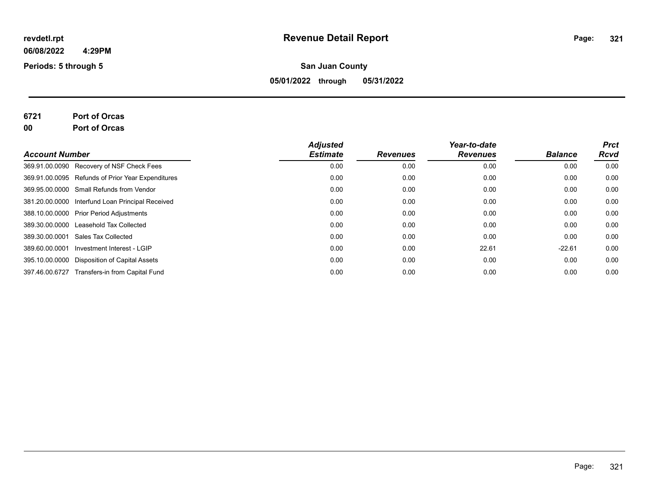**Periods: 5 through 5**

#### **San Juan County**

**05/01/2022 through 05/31/2022**

# **6721 Port of Orcas**

**00 Port of Orcas**

| <b>Account Number</b> |                                                   | <b>Adjusted</b><br><b>Estimate</b> |                 | Year-to-date<br><b>Revenues</b> | <b>Balance</b> | <b>Prct</b> |
|-----------------------|---------------------------------------------------|------------------------------------|-----------------|---------------------------------|----------------|-------------|
|                       |                                                   |                                    | <b>Revenues</b> |                                 |                | Rcvd        |
|                       | 369.91.00.0090 Recovery of NSF Check Fees         | 0.00                               | 0.00            | 0.00                            | 0.00           | 0.00        |
|                       | 369.91.00.0095 Refunds of Prior Year Expenditures | 0.00                               | 0.00            | 0.00                            | 0.00           | 0.00        |
|                       | 369.95.00.0000 Small Refunds from Vendor          | 0.00                               | 0.00            | 0.00                            | 0.00           | 0.00        |
|                       | 381.20.00.0000 Interfund Loan Principal Received  | 0.00                               | 0.00            | 0.00                            | 0.00           | 0.00        |
|                       | 388.10.00.0000 Prior Period Adjustments           | 0.00                               | 0.00            | 0.00                            | 0.00           | 0.00        |
| 389.30.00.0000        | Leasehold Tax Collected                           | 0.00                               | 0.00            | 0.00                            | 0.00           | 0.00        |
| 389.30.00.0001        | Sales Tax Collected                               | 0.00                               | 0.00            | 0.00                            | 0.00           | 0.00        |
| 389.60.00.0001        | Investment Interest - LGIP                        | 0.00                               | 0.00            | 22.61                           | $-22.61$       | 0.00        |
|                       | 395.10.00.0000 Disposition of Capital Assets      | 0.00                               | 0.00            | 0.00                            | 0.00           | 0.00        |
| 397.46.00.6727        | Transfers-in from Capital Fund                    | 0.00                               | 0.00            | 0.00                            | 0.00           | 0.00        |